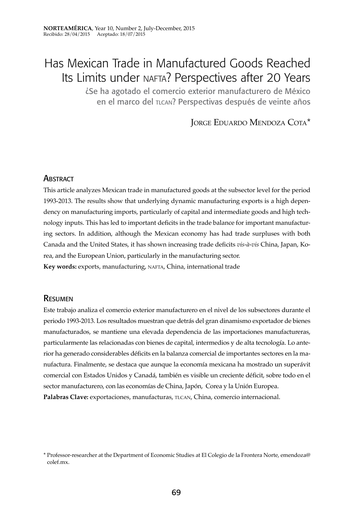# Has Mexican Trade in Manufactured Goods Reached Its Limits under NAFTA? Perspectives after 20 Years

¿Se ha agotado el comercio exterior manufacturero de México en el marco del TLCAN? Perspectivas después de veinte años

Jorge Eduardo Mendoza Cota\*

## **ABSTRACT**

This article analyzes Mexican trade in manufactured goods at the subsector level for the period 1993-2013. The results show that underlying dynamic manufacturing exports is a high dependency on manufacturing imports, particularly of capital and intermediate goods and high technology inputs. This has led to important deficits in the trade balance for important manufacturing sectors. In addition, although the Mexican economy has had trade surpluses with both Canada and the United States, it has shown increasing trade deficits *vis-à-vis* China, Japan, Korea, and the European Union, particularly in the manufacturing sector. Key words: exports, manufacturing, NAFTA, China, international trade

## Resumen

Este trabajo analiza el comercio exterior manufacturero en el nivel de los subsectores durante el periodo 1993-2013. Los resultados muestran que detrás del gran dinamismo exportador de bienes manufacturados, se mantiene una elevada dependencia de las importaciones manufactureras, particularmente las relacionadas con bienes de capital, intermedios y de alta tecnología. Lo anterior ha generado considerables déficits en la balanza comercial de importantes sectores en la manufactura. Finalmente, se destaca que aunque la economía mexicana ha mostrado un superávit comercial con Estados Unidos y Canadá, también es visible un creciente déficit, sobre todo en el sector manufacturero, con las economías de China, Japón, Corea y la Unión Europea. Palabras Clave: exportaciones, manufacturas, TLCAN, China, comercio internacional.

<sup>\*</sup> Professor-researcher at the Department of Economic Studies at El Colegio de la Frontera Norte, emendoza@ colef.mx.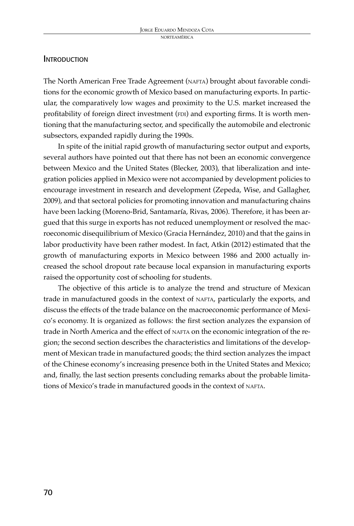### **INTRODUCTION**

The North American Free Trade Agreement (nafta) brought about favorable conditions for the economic growth of Mexico based on manufacturing exports. In particular, the comparatively low wages and proximity to the U.S. market increased the profitability of foreign direct investment (FDI) and exporting firms. It is worth mentioning that the manufacturing sector, and specifically the automobile and electronic subsectors, expanded rapidly during the 1990s.

In spite of the initial rapid growth of manufacturing sector output and exports, several authors have pointed out that there has not been an economic convergence between Mexico and the United States (Blecker, 2003), that liberalization and integration policies applied in Mexico were not accompanied by development policies to encourage investment in research and development (Zepeda, Wise, and Gallagher, 2009), and that sectoral policies for promoting innovation and manufacturing chains have been lacking (Moreno-Brid, Santamaría, Rivas, 2006). Therefore, it has been argued that this surge in exports has not reduced unemployment or resolved the macroeconomic disequilibrium of Mexico (Gracia Hernández, 2010) and that the gains in labor productivity have been rather modest. In fact, Atkin (2012) estimated that the growth of manufacturing exports in Mexico between 1986 and 2000 actually increased the school dropout rate because local expansion in manufacturing exports raised the opportunity cost of schooling for students.

The objective of this article is to analyze the trend and structure of Mexican trade in manufactured goods in the context of nafta, particularly the exports, and discuss the effects of the trade balance on the macroeconomic performance of Mexico's economy. It is organized as follows: the first section analyzes the expansion of trade in North America and the effect of nafta on the economic integration of the region; the second section describes the characteristics and limitations of the development of Mexican trade in manufactured goods; the third section analyzes the impact of the Chinese economy's increasing presence both in the United States and Mexico; and, finally, the last section presents concluding remarks about the probable limitations of Mexico's trade in manufactured goods in the context of NAFTA.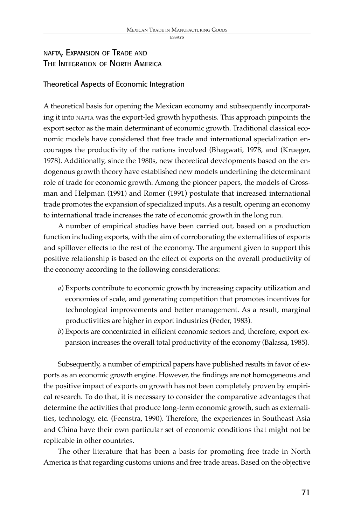# nafta, Expansion of Trade and The Integration of North America

#### Theoretical Aspects of Economic Integration

A theoretical basis for opening the Mexican economy and subsequently incorporating it into nafta was the export-led growth hypothesis. This approach pinpoints the export sector as the main determinant of economic growth. Traditional classical economic models have considered that free trade and international specialization encourages the productivity of the nations involved (Bhagwati, 1978, and (Krueger, 1978). Additionally, since the 1980s, new theoretical developments based on the endogenous growth theory have established new models underlining the determinant role of trade for economic growth. Among the pioneer papers, the models of Grossman and Helpman (1991) and Romer (1991) postulate that increased international trade promotes the expansion of specialized inputs. As a result, opening an economy to international trade increases the rate of economic growth in the long run.

A number of empirical studies have been carried out, based on a production function including exports, with the aim of corroborating the externalities of exports and spillover effects to the rest of the economy. The argument given to support this positive relationship is based on the effect of exports on the overall productivity of the economy according to the following considerations:

- *a*) Exports contribute to economic growth by increasing capacity utilization and economies of scale, and generating competition that promotes incentives for technological improvements and better management. As a result, marginal productivities are higher in export industries (Feder, 1983).
- *b*) Exports are concentrated in efficient economic sectors and, therefore, export expansion increases the overall total productivity of the economy (Balassa, 1985).

Subsequently, a number of empirical papers have published results in favor of exports as an economic growth engine. However, the findings are not homogeneous and the positive impact of exports on growth has not been completely proven by empirical research. To do that, it is necessary to consider the comparative advantages that determine the activities that produce long-term economic growth, such as externalities, technology, etc. (Feenstra, 1990). Therefore, the experiences in Southeast Asia and China have their own particular set of economic conditions that might not be replicable in other countries.

The other literature that has been a basis for promoting free trade in North America is that regarding customs unions and free trade areas. Based on the objective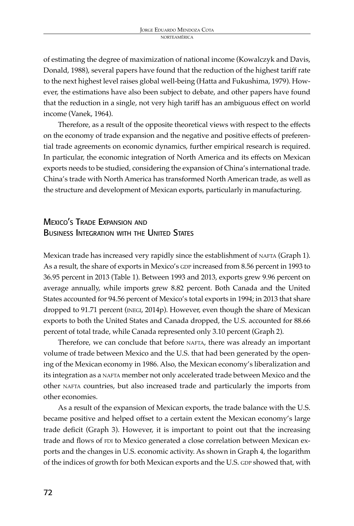of estimating the degree of maximization of national income (Kowalczyk and Davis, Donald, 1988), several papers have found that the reduction of the highest tariff rate to the next highest level raises global well-being (Hatta and Fukushima, 1979). However, the estimations have also been subject to debate, and other papers have found that the reduction in a single, not very high tariff has an ambiguous effect on world income (Vanek, 1964).

Therefore, as a result of the opposite theoretical views with respect to the effects on the economy of trade expansion and the negative and positive effects of preferential trade agreements on economic dynamics, further empirical research is required. In particular, the economic integration of North America and its effects on Mexican exports needs to be studied, considering the expansion of China's international trade. China's trade with North America has transformed North American trade, as well as the structure and development of Mexican exports, particularly in manufacturing.

# Mexico's Trade Expansion and BUSINESS INTEGRATION WITH THE UNITED STATES

Mexican trade has increased very rapidly since the establishment of NAFTA (Graph 1). As a result, the share of exports in Mexico's GDP increased from 8.56 percent in 1993 to 36.95 percent in 2013 (Table 1). Between 1993 and 2013, exports grew 9.96 percent on average annually, while imports grew 8.82 percent. Both Canada and the United States accounted for 94.56 percent of Mexico's total exports in 1994; in 2013 that share dropped to 91.71 percent (INEGI, 2014p). However, even though the share of Mexican exports to both the United States and Canada dropped, the U.S. accounted for 88.66 percent of total trade, while Canada represented only 3.10 percent (Graph 2).

Therefore, we can conclude that before NAFTA, there was already an important volume of trade between Mexico and the U.S. that had been generated by the opening of the Mexican economy in 1986. Also, the Mexican economy's liberalization and its integration as a NAFTA member not only accelerated trade between Mexico and the other NAFTA countries, but also increased trade and particularly the imports from other economies.

As a result of the expansion of Mexican exports, the trade balance with the U.S. became positive and helped offset to a certain extent the Mexican economy's large trade deficit (Graph 3). However, it is important to point out that the increasing trade and flows of FDI to Mexico generated a close correlation between Mexican exports and the changes in U.S. economic activity. As shown in Graph 4, the logarithm of the indices of growth for both Mexican exports and the U.S. GDP showed that, with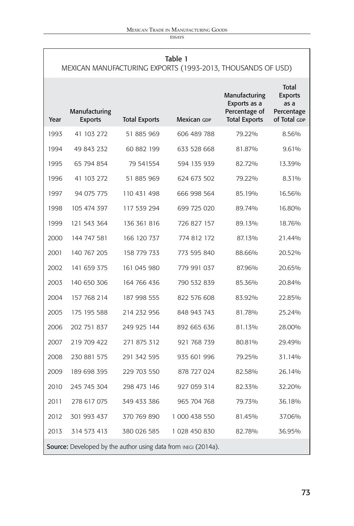**ESSAYS** 

| Table 1<br>MEXICAN MANUFACTURING EXPORTS (1993-2013, THOUSANDS OF USD) |                                 |                      |               |                                                                        |                                                                      |
|------------------------------------------------------------------------|---------------------------------|----------------------|---------------|------------------------------------------------------------------------|----------------------------------------------------------------------|
| Year                                                                   | Manufacturing<br><b>Exports</b> | <b>Total Exports</b> | Mexican GDP   | Manufacturing<br>Exports as a<br>Percentage of<br><b>Total Exports</b> | <b>Total</b><br><b>Exports</b><br>as a<br>Percentage<br>of Total GDP |
| 1993                                                                   | 41 103 272                      | 51 885 969           | 606 489 788   | 79.22%                                                                 | 8.56%                                                                |
| 1994                                                                   | 49 843 232                      | 60 882 199           | 633 528 668   | 81.87%                                                                 | 9.61%                                                                |
| 1995                                                                   | 65 794 854                      | 79 541554            | 594 135 939   | 82.72%                                                                 | 13.39%                                                               |
| 1996                                                                   | 41 103 272                      | 51 885 969           | 624 673 502   | 79.22%                                                                 | 8.31%                                                                |
| 1997                                                                   | 94 075 775                      | 110 431 498          | 666 998 564   | 85.19%                                                                 | 16.56%                                                               |
| 1998                                                                   | 105 474 397                     | 117 539 294          | 699 725 020   | 89.74%                                                                 | 16.80%                                                               |
| 1999                                                                   | 121 543 364                     | 136 361 816          | 726 827 157   | 89.13%                                                                 | 18.76%                                                               |
| 2000                                                                   | 144 747 581                     | 166 120 737          | 774 812 172   | 87.13%                                                                 | 21.44%                                                               |
| 2001                                                                   | 140 767 205                     | 158 779 733          | 773 595 840   | 88.66%                                                                 | 20.52%                                                               |
| 2002                                                                   | 141 659 375                     | 161 045 980          | 779 991 037   | 87.96%                                                                 | 20.65%                                                               |
| 2003                                                                   | 140 650 306                     | 164 766 436          | 790 532 839   | 85.36%                                                                 | 20.84%                                                               |
| 2004                                                                   | 157 768 214                     | 187 998 555          | 822 576 608   | 83.92%                                                                 | 22.85%                                                               |
| 2005                                                                   | 175 195 588                     | 214 232 956          | 848 943 743   | 81.78%                                                                 | 25.24%                                                               |
| 2006                                                                   | 202 751 837                     | 249 925 144          | 892 665 636   | 81.13%                                                                 | 28.00%                                                               |
| 2007                                                                   | 219 709 422                     | 271 875 312          | 921 768 739   | 80.81%                                                                 | 29.49%                                                               |
| 2008                                                                   | 230 881 575                     | 291 342 595          | 935 601 996   | 79.25%                                                                 | 31.14%                                                               |
| 2009                                                                   | 189 698 395                     | 229 703 550          | 878 727 024   | 82.58%                                                                 | 26.14%                                                               |
| 2010                                                                   | 245 745 304                     | 298 473 146          | 927 059 314   | 82.33%                                                                 | 32.20%                                                               |
| 2011                                                                   | 278 617 075                     | 349 433 386          | 965 704 768   | 79.73%                                                                 | 36.18%                                                               |
| 2012                                                                   | 301 993 437                     | 370 769 890          | 1 000 438 550 | 81.45%                                                                 | 37.06%                                                               |
| 2013                                                                   | 314 573 413                     | 380 026 585          | 1 028 450 830 | 82.78%                                                                 | 36.95%                                                               |
| <b>Source:</b> Developed by the author using data from INEGI (2014a).  |                                 |                      |               |                                                                        |                                                                      |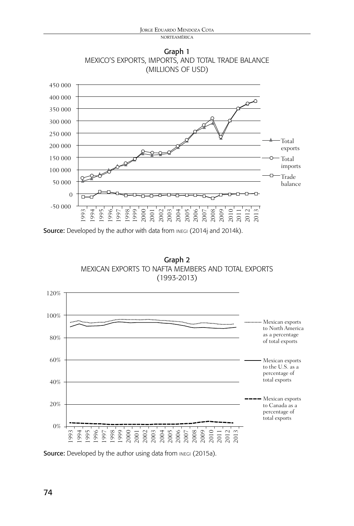norteamérica

Graph 1 Mexico's Exports, Imports, and Total Trade Balance (millions of USD)



Source: Developed by the author with data from INEGI (2014j and 2014k).





Source: Developed by the author using data from INEGI (2015a).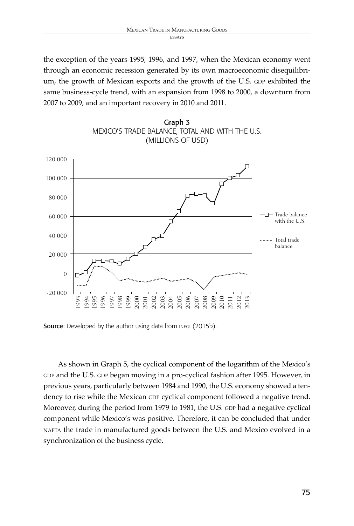the exception of the years 1995, 1996, and 1997, when the Mexican economy went through an economic recession generated by its own macroeconomic disequilibrium, the growth of Mexican exports and the growth of the U.S. GDP exhibited the same business-cycle trend, with an expansion from 1998 to 2000, a downturn from 2007 to 2009, and an important recovery in 2010 and 2011.



Graph 3

Source: Developed by the author using data from INEGI (2015b).

As shown in Graph 5, the cyclical component of the logarithm of the Mexico's GDP and the U.S. GDP began moving in a pro-cyclical fashion after 1995. However, in previous years, particularly between 1984 and 1990, the U.S. economy showed a tendency to rise while the Mexican GDP cyclical component followed a negative trend. Moreover, during the period from 1979 to 1981, the U.S. GDP had a negative cyclical component while Mexico's was positive. Therefore, it can be concluded that under nafta the trade in manufactured goods between the U.S. and Mexico evolved in a synchronization of the business cycle.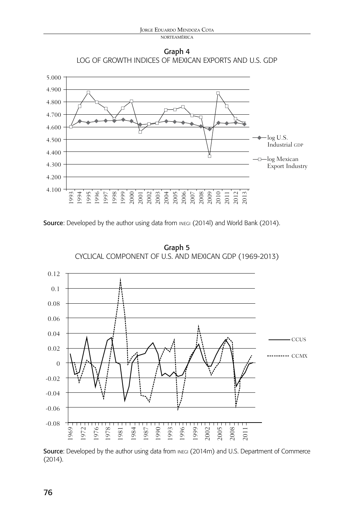norteamérica





Source: Developed by the author using data from INEGI (2014l) and World Bank (2014).



Graph 5 Cyclical Component of U.S. and Mexican GDP (1969-2013)

Source: Developed by the author using data from INEGI (2014m) and U.S. Department of Commerce (2014).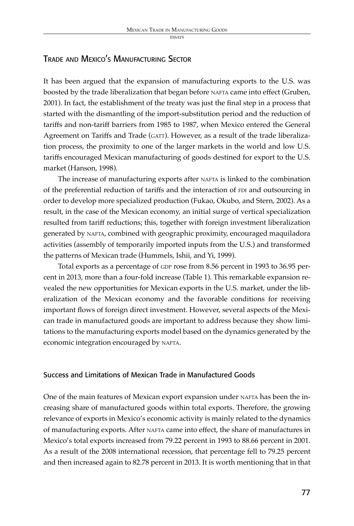essays

# Trade and Mexico's Manufacturing Sector

It has been argued that the expansion of manufacturing exports to the U.S. was boosted by the trade liberalization that began before NAFTA came into effect (Gruben, 2001). In fact, the establishment of the treaty was just the final step in a process that started with the dismantling of the import-substitution period and the reduction of tariffs and non-tariff barriers from 1985 to 1987, when Mexico entered the General Agreement on Tariffs and Trade (GATT). However, as a result of the trade liberalization process, the proximity to one of the larger markets in the world and low U.S. tariffs encouraged Mexican manufacturing of goods destined for export to the U.S. market (Hanson, 1998).

The increase of manufacturing exports after NAFTA is linked to the combination of the preferential reduction of tariffs and the interaction of FDI and outsourcing in order to develop more specialized production (Fukao, Okubo, and Stern, 2002). As a result, in the case of the Mexican economy, an initial surge of vertical specialization resulted from tariff reductions; this, together with foreign investment liberalization generated by nafta, combined with geographic proximity, encouraged maquiladora activities (assembly of temporarily imported inputs from the U.S.) and transformed the patterns of Mexican trade (Hummels, Ishii, and Yi, 1999).

Total exports as a percentage of GDP rose from 8.56 percent in 1993 to 36.95 percent in 2013, more than a four-fold increase (Table 1). This remarkable expansion revealed the new opportunities for Mexican exports in the U.S. market, under the liberalization of the Mexican economy and the favorable conditions for receiving important flows of foreign direct investment. However, several aspects of the Mexican trade in manufactured goods are important to address because they show limitations to the manufacturing exports model based on the dynamics generated by the economic integration encouraged by NAFTA.

# Success and Limitations of Mexican Trade in Manufactured Goods

One of the main features of Mexican export expansion under NAFTA has been the increasing share of manufactured goods within total exports. Therefore, the growing relevance of exports in Mexico's economic activity is mainly related to the dynamics of manufacturing exports. After NAFTA came into effect, the share of manufactures in Mexico's total exports increased from 79.22 percent in 1993 to 88.66 percent in 2001. As a result of the 2008 international recession, that percentage fell to 79.25 percent and then increased again to 82.78 percent in 2013. It is worth mentioning that in that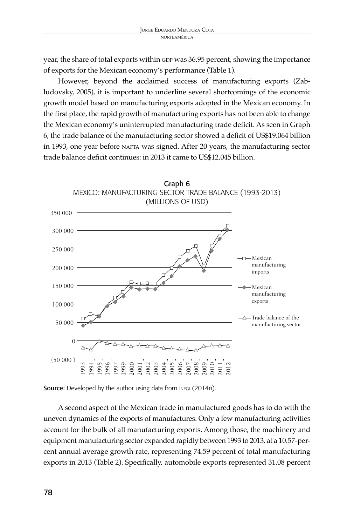year, the share of total exports within GDP was 36.95 percent, showing the importance of exports for the Mexican economy's performance (Table 1).

However, beyond the acclaimed success of manufacturing exports (Zabludovsky, 2005), it is important to underline several shortcomings of the economic growth model based on manufacturing exports adopted in the Mexican economy. In the first place, the rapid growth of manufacturing exports has not been able to change the Mexican economy's uninterrupted manufacturing trade deficit. As seen in Graph 6, the trade balance of the manufacturing sector showed a deficit of US\$19.064 billion in 1993, one year before NAFTA was signed. After 20 years, the manufacturing sector trade balance deficit continues: in 2013 it came to US\$12.045 billion.



Source: Developed by the author using data from INEGI (2014n).

A second aspect of the Mexican trade in manufactured goods has to do with the uneven dynamics of the exports of manufactures. Only a few manufacturing activities account for the bulk of all manufacturing exports. Among those, the machinery and equipment manufacturing sector expanded rapidly between 1993 to 2013, at a 10.57-percent annual average growth rate, representing 74.59 percent of total manufacturing exports in 2013 (Table 2). Specifically, automobile exports represented 31.08 percent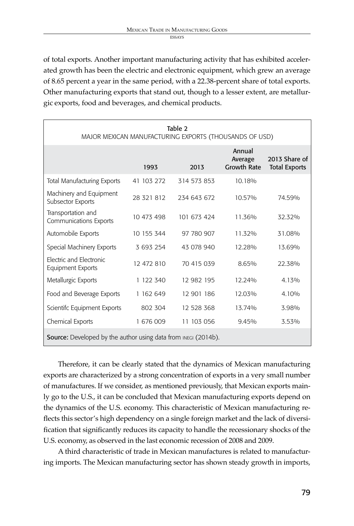of total exports. Another important manufacturing activity that has exhibited accelerated growth has been the electric and electronic equipment, which grew an average of 8.65 percent a year in the same period, with a 22.38-percent share of total exports. Other manufacturing exports that stand out, though to a lesser extent, are metallurgic exports, food and beverages, and chemical products.

| Table 2<br>MAJOR MEXICAN MANUFACTURING EXPORTS (THOUSANDS OF USD)     |            |             |                                         |                                       |  |
|-----------------------------------------------------------------------|------------|-------------|-----------------------------------------|---------------------------------------|--|
|                                                                       | 1993       | 2013        | Annual<br>Average<br><b>Growth Rate</b> | 2013 Share of<br><b>Total Exports</b> |  |
| <b>Total Manufacturing Exports</b>                                    | 41 103 272 | 314 573 853 | 10.18%                                  |                                       |  |
| Machinery and Equipment<br>Subsector Exports                          | 28 321 812 | 234 643 672 | 10.57%                                  | 74.59%                                |  |
| Transportation and<br><b>Communications Exports</b>                   | 10 473 498 | 101 673 424 | 11.36%                                  | 32.32%                                |  |
| Automobile Exports                                                    | 10 155 344 | 97 780 907  | 11.32%                                  | 31.08%                                |  |
| Special Machinery Exports                                             | 3 693 254  | 43 078 940  | 12.28%                                  | 13.69%                                |  |
| Electric and Electronic<br><b>Equipment Exports</b>                   | 12 472 810 | 70 415 039  | 8.65%                                   | 22.38%                                |  |
| Metallurgic Exports                                                   | 1 122 340  | 12 982 195  | 12.24%                                  | 4.13%                                 |  |
| Food and Beverage Exports                                             | 1 162 649  | 12 901 186  | 12.03%                                  | 4.10%                                 |  |
| Scientifc Equipment Exports                                           | 802 304    | 12 528 368  | 13.74%                                  | 3.98%                                 |  |
| Chemical Exports                                                      | 1 676 009  | 11 103 056  | 9.45%                                   | 3.53%                                 |  |
| <b>Source:</b> Developed by the author using data from INEGI (2014b). |            |             |                                         |                                       |  |

Therefore, it can be clearly stated that the dynamics of Mexican manufacturing exports are characterized by a strong concentration of exports in a very small number of manufactures. If we consider, as mentioned previously, that Mexican exports mainly go to the U.S., it can be concluded that Mexican manufacturing exports depend on the dynamics of the U.S. economy. This characteristic of Mexican manufacturing reflects this sector's high dependency on a single foreign market and the lack of diversification that significantly reduces its capacity to handle the recessionary shocks of the U.S. economy, as observed in the last economic recession of 2008 and 2009.

A third characteristic of trade in Mexican manufactures is related to manufacturing imports. The Mexican manufacturing sector has shown steady growth in imports,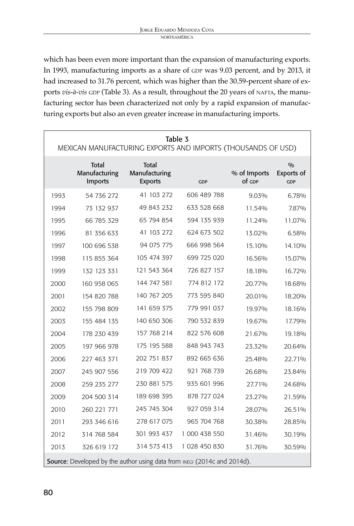which has been even more important than the expansion of manufacturing exports. In 1993, manufacturing imports as a share of GDP was 9.03 percent, and by 2013, it had increased to 31.76 percent, which was higher than the 30.59-percent share of exports *vis-à-vis* GDP (Table 3). As a result, throughout the 20 years of NAFTA, the manufacturing sector has been characterized not only by a rapid expansion of manufacturing exports but also an even greater increase in manufacturing imports.

| Table 3<br>MEXICAN MANUFACTURING EXPORTS AND IMPORTS (THOUSANDS OF USD)  |                                          |                                          |               |                        |                                           |
|--------------------------------------------------------------------------|------------------------------------------|------------------------------------------|---------------|------------------------|-------------------------------------------|
|                                                                          | <b>Total</b><br>Manufacturing<br>Imports | Total<br>Manufacturing<br><b>Exports</b> | <b>GDP</b>    | % of Imports<br>of GDP | $\frac{0}{0}$<br>Exports of<br><b>GDP</b> |
| 1993                                                                     | 54 736 272                               | 41 103 272                               | 606 489 788   | 9.03%                  | 6.78%                                     |
| 1994                                                                     | 73 132 937                               | 49 843 232                               | 633 528 668   | 11.54%                 | 7.87%                                     |
| 1995                                                                     | 66 785 329                               | 65 794 854                               | 594 135 939   | 11.24%                 | 11.07%                                    |
| 1996                                                                     | 81 356 633                               | 41 103 272                               | 624 673 502   | 13.02%                 | 6.58%                                     |
| 1997                                                                     | 100 696 538                              | 94 075 775                               | 666 998 564   | 15.10%                 | 14.10%                                    |
| 1998                                                                     | 115 855 364                              | 105 474 397                              | 699 725 020   | 16.56%                 | 15.07%                                    |
| 1999                                                                     | 132 123 331                              | 121 543 364                              | 726 827 157   | 18.18%                 | 16.72%                                    |
| 2000                                                                     | 160 958 065                              | 144 747 581                              | 774 812 172   | 20.77%                 | 18.68%                                    |
| 2001                                                                     | 154 820 788                              | 140 767 205                              | 773 595 840   | 20.01%                 | 18.20%                                    |
| 2002                                                                     | 155 798 809                              | 141 659 375                              | 779 991 037   | 19.97%                 | 18.16%                                    |
| 2003                                                                     | 155 484 135                              | 140 650 306                              | 790 532 839   | 19.67%                 | 17.79%                                    |
| 2004                                                                     | 178 230 439                              | 157 768 214                              | 822 576 608   | 21.67%                 | 19.18%                                    |
| 2005                                                                     | 197 966 978                              | 175 195 588                              | 848 943 743   | 23.32%                 | 20.64%                                    |
| 2006                                                                     | 227 463 371                              | 202 751 837                              | 892 665 636   | 25.48%                 | 22.71%                                    |
| 2007                                                                     | 245 907 556                              | 219 709 422                              | 921 768 739   | 26.68%                 | 23.84%                                    |
| 2008                                                                     | 259 235 277                              | 230 881 575                              | 935 601 996   | 27.71%                 | 24.68%                                    |
| 2009                                                                     | 204 500 314                              | 189 698 395                              | 878 727 024   | 23.27%                 | 21.59%                                    |
| 2010                                                                     | 260 221 771                              | 245 745 304                              | 927 059 314   | 28.07%                 | 26.51%                                    |
| 2011                                                                     | 293 346 616                              | 278 617 075                              | 965 704 768   | 30.38%                 | 28.85%                                    |
| 2012                                                                     | 314 768 584                              | 301 993 437                              | 1 000 438 550 | 31.46%                 | 30.19%                                    |
| 2013                                                                     | 326 619 172                              | 314 573 413                              | 1 028 450 830 | 31.76%                 | 30.59%                                    |
| Source: Developed by the author using data from INEGI (2014c and 2014d). |                                          |                                          |               |                        |                                           |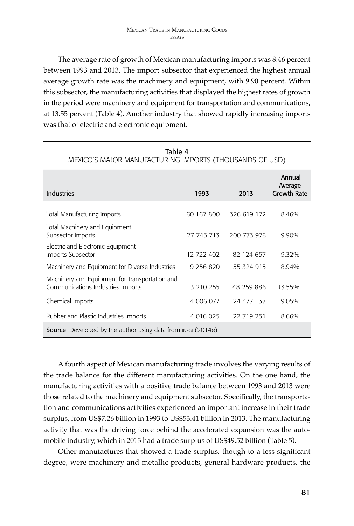The average rate of growth of Mexican manufacturing imports was 8.46 percent between 1993 and 2013. The import subsector that experienced the highest annual average growth rate was the machinery and equipment, with 9.90 percent. Within this subsector, the manufacturing activities that displayed the highest rates of growth in the period were machinery and equipment for transportation and communications, at 13.55 percent (Table 4). Another industry that showed rapidly increasing imports was that of electric and electronic equipment.

| Table 4<br>MEXICO'S MAJOR MANUFACTURING IMPORTS (THOUSANDS OF USD)                  |            |             |                                         |  |
|-------------------------------------------------------------------------------------|------------|-------------|-----------------------------------------|--|
| <b>Industries</b>                                                                   | 1993       | 2013        | Annual<br>Average<br><b>Growth Rate</b> |  |
| Total Manufacturing Imports                                                         | 60 167 800 | 326 619 172 | 8.46%                                   |  |
| Total Machinery and Equipment<br>Subsector Imports                                  | 27 745 713 | 200 773 978 | 9.90%                                   |  |
| Electric and Electronic Equipment<br>Imports Subsector                              | 12 722 402 | 82 124 657  | 9.32%                                   |  |
| Machinery and Equipment for Diverse Industries                                      | 9 256 820  | 55 324 915  | 8.94%                                   |  |
| Machinery and Equipment for Transportation and<br>Communications Industries Imports | 3 210 255  | 48 259 886  | 13.55%                                  |  |
| Chemical Imports                                                                    | 4 006 077  | 24 477 137  | 9.05%                                   |  |
| Rubber and Plastic Industries Imports                                               | 4 016 025  | 22 719 251  | 8.66%                                   |  |
| <b>Source:</b> Developed by the author using data from INEGI (2014e).               |            |             |                                         |  |

A fourth aspect of Mexican manufacturing trade involves the varying results of the trade balance for the different manufacturing activities. On the one hand, the manufacturing activities with a positive trade balance between 1993 and 2013 were those related to the machinery and equipment subsector. Specifically, the transportation and communications activities experienced an important increase in their trade surplus, from US\$7.26 billion in 1993 to US\$53.41 billion in 2013. The manufacturing activity that was the driving force behind the accelerated expansion was the automobile industry, which in 2013 had a trade surplus of US\$49.52 billion (Table 5).

Other manufactures that showed a trade surplus, though to a less significant degree, were machinery and metallic products, general hardware products, the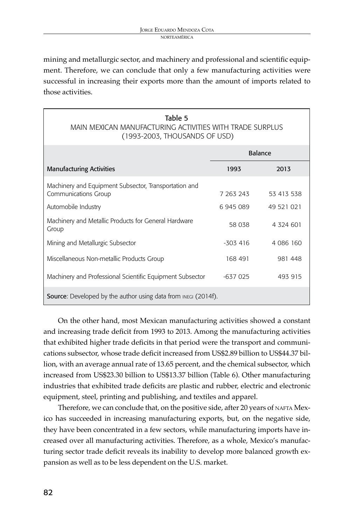mining and metallurgic sector, and machinery and professional and scientific equipment. Therefore, we can conclude that only a few manufacturing activities were successful in increasing their exports more than the amount of imports related to those activities.

#### Table 5 Main Mexican Manufacturing Activities with Trade Surplus (1993-2003, thousands of USD)

|                                                                               |           | <b>Balance</b> |
|-------------------------------------------------------------------------------|-----------|----------------|
| <b>Manufacturing Activities</b>                                               | 1993      | 2013           |
| Machinery and Equipment Subsector, Transportation and<br>Communications Group | 7 263 243 | 53 413 538     |
| Automobile Industry                                                           | 6 945 089 | 49 521 021     |
| Machinery and Metallic Products for General Hardware<br>Group                 | 58 038    | 4 324 601      |
| Mining and Metallurgic Subsector                                              | $-303416$ | 4 086 160      |
| Miscellaneous Non-metallic Products Group                                     | 168 491   | 981 448        |
| Machinery and Professional Scientific Equipment Subsector                     | $-637025$ | 493 915        |
| Source: Developed by the author using data from INEGI (2014f).                |           |                |

On the other hand, most Mexican manufacturing activities showed a constant and increasing trade deficit from 1993 to 2013. Among the manufacturing activities that exhibited higher trade deficits in that period were the transport and communications subsector, whose trade deficit increased from US\$2.89 billion to US\$44.37 billion, with an average annual rate of 13.65 percent, and the chemical subsector, which increased from US\$23.30 billion to US\$13.37 billion (Table 6). Other manufacturing industries that exhibited trade deficits are plastic and rubber, electric and electronic equipment, steel, printing and publishing, and textiles and apparel.

Therefore, we can conclude that, on the positive side, after 20 years of NAFTA Mexico has succeeded in increasing manufacturing exports, but, on the negative side, they have been concentrated in a few sectors, while manufacturing imports have increased over all manufacturing activities. Therefore, as a whole, Mexico's manufacturing sector trade deficit reveals its inability to develop more balanced growth expansion as well as to be less dependent on the U.S. market.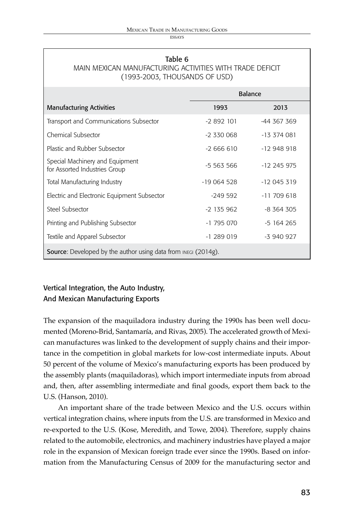ECC AVC

### Table 6 Main Mexican Manufacturing Activities with Trade Deficit (1993-2003, thousands of USD)

|                                                                                   |              | Balance       |
|-----------------------------------------------------------------------------------|--------------|---------------|
| <b>Manufacturing Activities</b>                                                   | 1993         | 2013          |
| Transport and Communications Subsector                                            | $-2892101$   | -44 367 369   |
| Chemical Subsector                                                                | $-2,330,068$ | $-13374081$   |
| Plastic and Rubber Subsector                                                      | $-2666610$   | $-12948918$   |
| Special Machinery and Equipment<br>for Assorted Industries Group                  | $-5,563,566$ | $-12$ 245 975 |
| Total Manufacturing Industry                                                      | $-19064528$  | $-12045319$   |
| Electric and Electronic Equipment Subsector                                       | $-249.592$   | $-11709618$   |
| Steel Subsector                                                                   | $-2$ 135 962 | $-8,364,305$  |
| Printing and Publishing Subsector                                                 | $-1795070$   | $-5164265$    |
| Textile and Apparel Subsector                                                     | $-1289019$   | $-3940927$    |
| <b>Source:</b> Developed by the author using data from $_{\text{INEGI}}$ (2014g). |              |               |

# Vertical Integration, the Auto Industry, And Mexican Manufacturing Exports

The expansion of the maquiladora industry during the 1990s has been well documented (Moreno-Brid, Santamaría, and Rivas, 2005). The accelerated growth of Mexican manufactures was linked to the development of supply chains and their importance in the competition in global markets for low-cost intermediate inputs. About 50 percent of the volume of Mexico's manufacturing exports has been produced by the assembly plants (maquiladoras), which import intermediate inputs from abroad and, then, after assembling intermediate and final goods, export them back to the U.S. (Hanson, 2010).

An important share of the trade between Mexico and the U.S. occurs within vertical integration chains, where inputs from the U.S. are transformed in Mexico and re-exported to the U.S. (Kose, Meredith, and Towe, 2004). Therefore, supply chains related to the automobile, electronics, and machinery industries have played a major role in the expansion of Mexican foreign trade ever since the 1990s. Based on information from the Manufacturing Census of 2009 for the manufacturing sector and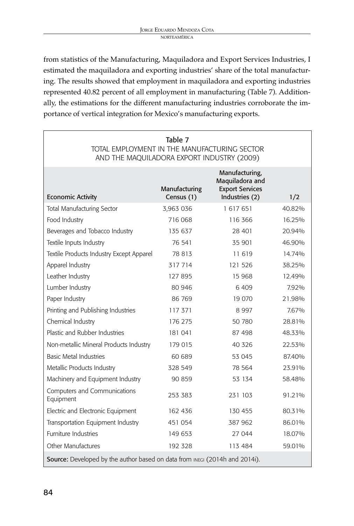from statistics of the Manufacturing, Maquiladora and Export Services Industries, I estimated the maquiladora and exporting industries' share of the total manufacturing. The results showed that employment in maquiladora and exporting industries represented 40.82 percent of all employment in manufacturing (Table 7). Additionally, the estimations for the different manufacturing industries corroborate the importance of vertical integration for Mexico's manufacturing exports.

| Table 7<br>TOTAL EMPLOYMENT IN THE MANUFACTURING SECTOR<br>AND THE MAQUILADORA EXPORT INDUSTRY (2009) |                             |                                                                               |        |  |
|-------------------------------------------------------------------------------------------------------|-----------------------------|-------------------------------------------------------------------------------|--------|--|
| <b>Economic Activity</b>                                                                              | Manufacturing<br>Census (1) | Manufacturing,<br>Maquiladora and<br><b>Export Services</b><br>Industries (2) | 1/2    |  |
| <b>Total Manufacturing Sector</b>                                                                     | 3,963 036                   | 1 617 651                                                                     | 40.82% |  |
| Food Industry                                                                                         | 716 068                     | 116366                                                                        | 16.25% |  |
| Beverages and Tobacco Industry                                                                        | 135 637                     | 28 401                                                                        | 20.94% |  |
| Textile Inputs Industry                                                                               | 76 541                      | 35 901                                                                        | 46.90% |  |
| Textile Products Industry Except Apparel                                                              | 78 813                      | 11 619                                                                        | 14.74% |  |
| Apparel Industry                                                                                      | 317714                      | 121 526                                                                       | 38.25% |  |
| Leather Industry                                                                                      | 127 895                     | 15 968                                                                        | 12.49% |  |
| Lumber Industry                                                                                       | 80 946                      | 6409                                                                          | 7.92%  |  |
| Paper Industry                                                                                        | 86 769                      | 19 070                                                                        | 21.98% |  |
| Printing and Publishing Industries                                                                    | 117 371                     | 8997                                                                          | 7.67%  |  |
| Chemical Industry                                                                                     | 176 275                     | 50 780                                                                        | 28.81% |  |
| Plastic and Rubber Industries                                                                         | 181 041                     | 87 498                                                                        | 48.33% |  |
| Non-metallic Mineral Products Industry                                                                | 179 015                     | 40 326                                                                        | 22.53% |  |
| <b>Basic Metal Industries</b>                                                                         | 60 689                      | 53 045                                                                        | 87.40% |  |
| Metallic Products Industry                                                                            | 328 549                     | 78 564                                                                        | 23.91% |  |
| Machinery and Equipment Industry                                                                      | 90 859                      | 53 134                                                                        | 58.48% |  |
| Computers and Communications<br>Equipment                                                             | 253 383                     | 231 103                                                                       | 91.21% |  |
| Electric and Electronic Equipment                                                                     | 162 436                     | 130 455                                                                       | 80.31% |  |
| Transportation Equipment Industry                                                                     | 451 054                     | 387 962                                                                       | 86.01% |  |
| <b>Furniture Industries</b>                                                                           | 149 653                     | 27 044                                                                        | 18.07% |  |
| Other Manufactures                                                                                    | 192 328                     | 113 484                                                                       | 59.01% |  |
| Source: Developed by the author based on data from INEGI (2014h and 2014i).                           |                             |                                                                               |        |  |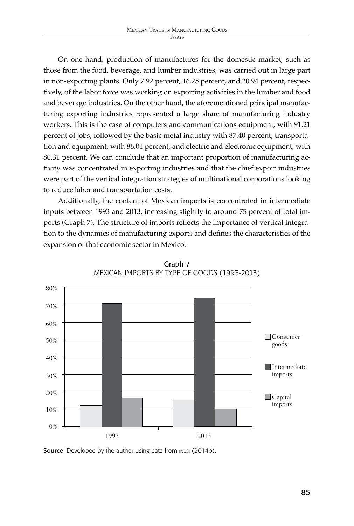On one hand, production of manufactures for the domestic market, such as those from the food, beverage, and lumber industries, was carried out in large part in non-exporting plants. Only 7.92 percent, 16.25 percent, and 20.94 percent, respectively, of the labor force was working on exporting activities in the lumber and food and beverage industries. On the other hand, the aforementioned principal manufacturing exporting industries represented a large share of manufacturing industry workers. This is the case of computers and communications equipment, with 91.21 percent of jobs, followed by the basic metal industry with 87.40 percent, transportation and equipment, with 86.01 percent, and electric and electronic equipment, with 80.31 percent. We can conclude that an important proportion of manufacturing activity was concentrated in exporting industries and that the chief export industries were part of the vertical integration strategies of multinational corporations looking to reduce labor and transportation costs.

Additionally, the content of Mexican imports is concentrated in intermediate inputs between 1993 and 2013, increasing slightly to around 75 percent of total imports (Graph 7). The structure of imports reflects the importance of vertical integration to the dynamics of manufacturing exports and defines the characteristics of the expansion of that economic sector in Mexico.



Graph 7 Mexican Imports by Type of Goods (1993-2013)

Source: Developed by the author using data from INEGI (2014o).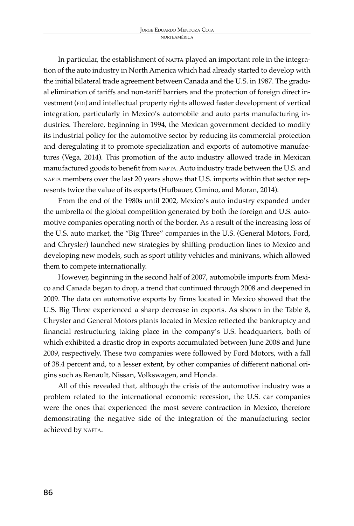In particular, the establishment of NAFTA played an important role in the integration of the auto industry in North America which had already started to develop with the initial bilateral trade agreement between Canada and the U.S. in 1987. The gradual elimination of tariffs and non-tariff barriers and the protection of foreign direct investment (FDI) and intellectual property rights allowed faster development of vertical integration, particularly in Mexico's automobile and auto parts manufacturing industries. Therefore, beginning in 1994, the Mexican government decided to modify its industrial policy for the automotive sector by reducing its commercial protection and deregulating it to promote specialization and exports of automotive manufactures (Vega, 2014). This promotion of the auto industry allowed trade in Mexican manufactured goods to benefit from nafta. Auto industry trade between the U.S. and nafta members over the last 20 years shows that U.S. imports within that sector represents twice the value of its exports (Hufbauer, Cimino, and Moran, 2014).

From the end of the 1980s until 2002, Mexico's auto industry expanded under the umbrella of the global competition generated by both the foreign and U.S. automotive companies operating north of the border. As a result of the increasing loss of the U.S. auto market, the "Big Three" companies in the U.S. (General Motors, Ford, and Chrysler) launched new strategies by shifting production lines to Mexico and developing new models, such as sport utility vehicles and minivans, which allowed them to compete internationally.

However, beginning in the second half of 2007, automobile imports from Mexico and Canada began to drop, a trend that continued through 2008 and deepened in 2009. The data on automotive exports by firms located in Mexico showed that the U.S. Big Three experienced a sharp decrease in exports. As shown in the Table 8, Chrysler and General Motors plants located in Mexico reflected the bankruptcy and financial restructuring taking place in the company's U.S. headquarters, both of which exhibited a drastic drop in exports accumulated between June 2008 and June 2009, respectively. These two companies were followed by Ford Motors, with a fall of 38.4 percent and, to a lesser extent, by other companies of different national origins such as Renault, Nissan, Volkswagen, and Honda.

All of this revealed that, although the crisis of the automotive industry was a problem related to the international economic recession, the U.S. car companies were the ones that experienced the most severe contraction in Mexico, therefore demonstrating the negative side of the integration of the manufacturing sector achieved by NAFTA.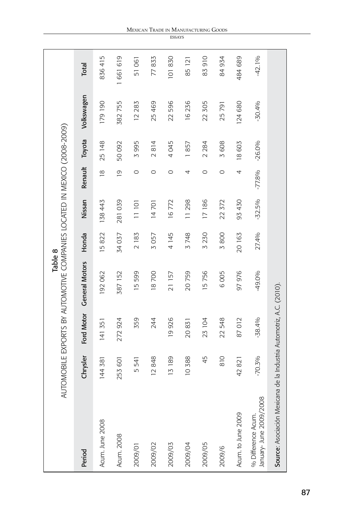|                                                                      |          |            | AUTOMOBILE EXPORTS BY AUTOMOTIVE COMPANIES LOCATED IN MEXICO (2008-2009)<br>Table 8 |             |          |                         |          |            |          |
|----------------------------------------------------------------------|----------|------------|-------------------------------------------------------------------------------------|-------------|----------|-------------------------|----------|------------|----------|
| Period                                                               | Chrysler | Ford Motor | <b>General Motors</b>                                                               | Honda       | Nissan   | Renault                 | Toyota   | Volkswagen | Total    |
| Acum. June 2008                                                      | 144 381  | 141 351    | 192 062                                                                             | 15822       | 138 443  | $\frac{\infty}{\infty}$ | 25 148   | 179190     | 836415   |
| <b>Acum. 2008</b>                                                    | 253 601  | 272 924    | 387 152                                                                             | 34037       | 281 039  | $\overline{0}$          | 50 092   | 382 755    | 661 619  |
| 2009/01                                                              | 541<br>١ | 359        | 599<br><u>ٰ م</u>                                                                   | 2183        | 11101    | $\circ$                 | 3995     | 12 283     | 51061    |
| 2009/02                                                              | 12848    | 244        | 18700                                                                               | 3057        | 14701    | 0                       | 2814     | 25 469     | 77833    |
| 2009/03                                                              | 13189    | 19926      | 21157                                                                               | 4 145       | 16772    | $\circ$                 | 4045     | 22 596     | 101830   |
| 2009/04                                                              | 10388    | 20831      | 20759                                                                               | 3748        | 11298    | 4                       | 1857     | 16236      | 85 121   |
| 2009/05                                                              | 45       | 23 104     | 15756                                                                               | 3 230       | 17186    | 0                       | 2 2 8 4  | 22 305     | 83910    |
| 2009/6                                                               | 810      | 22 548     | 6005                                                                                | <b>3800</b> | 22 372   | $\circ$                 | 3608     | 25791      | 84 934   |
| Acum. to June 2009                                                   | 42821    | 87012      | 97976                                                                               | 20 163      | 93 430   | 4                       | 18603    | 124 680    | 484 689  |
| January- June 2009/2008<br>% Difference Acum.                        | $-70.3%$ | $-38.4%$   | -49.0%                                                                              | 27.4%       | $-32.5%$ | $-77.8%$                | $-26.0%$ | $-30.4%$   | $-42.1%$ |
| Source: Asociación Mexicana de la Industria Automotriz, A.C. (2010). |          |            |                                                                                     |             |          |                         |          |            |          |

#### Mexican Trade in Manufac turing Goods **ESSAYS**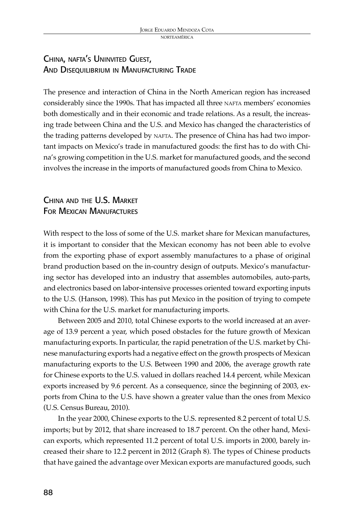# China, nafta's Uninvited Guest, AND DISEQUILIBRIUM IN MANUFACTURING TRADE

The presence and interaction of China in the North American region has increased considerably since the 1990s. That has impacted all three nafta members' economies both domestically and in their economic and trade relations. As a result, the increasing trade between China and the U.S. and Mexico has changed the characteristics of the trading patterns developed by NAFTA. The presence of China has had two important impacts on Mexico's trade in manufactured goods: the first has to do with China's growing competition in the U.S. market for manufactured goods, and the second involves the increase in the imports of manufactured goods from China to Mexico.

# China and the U.S. Market FOR MEXICAN MANUFACTURES

With respect to the loss of some of the U.S. market share for Mexican manufactures, it is important to consider that the Mexican economy has not been able to evolve from the exporting phase of export assembly manufactures to a phase of original brand production based on the in-country design of outputs. Mexico's manufacturing sector has developed into an industry that assembles automobiles, auto-parts, and electronics based on labor-intensive processes oriented toward exporting inputs to the U.S. (Hanson, 1998). This has put Mexico in the position of trying to compete with China for the U.S. market for manufacturing imports.

Between 2005 and 2010, total Chinese exports to the world increased at an average of 13.9 percent a year, which posed obstacles for the future growth of Mexican manufacturing exports. In particular, the rapid penetration of the U.S. market by Chinese manufacturing exports had a negative effect on the growth prospects of Mexican manufacturing exports to the U.S. Between 1990 and 2006, the average growth rate for Chinese exports to the U.S. valued in dollars reached 14.4 percent, while Mexican exports increased by 9.6 percent. As a consequence, since the beginning of 2003, exports from China to the U.S. have shown a greater value than the ones from Mexico (U.S. Census Bureau, 2010).

In the year 2000, Chinese exports to the U.S. represented 8.2 percent of total U.S. imports; but by 2012, that share increased to 18.7 percent. On the other hand, Mexican exports, which represented 11.2 percent of total U.S. imports in 2000, barely increased their share to 12.2 percent in 2012 (Graph 8). The types of Chinese products that have gained the advantage over Mexican exports are manufactured goods, such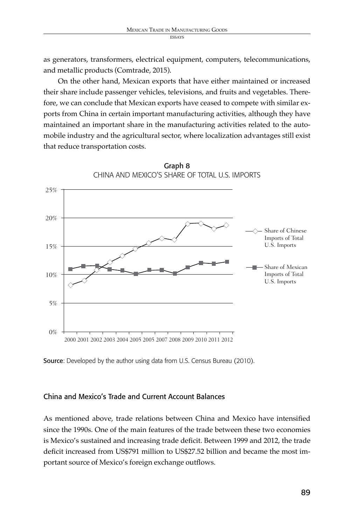as generators, transformers, electrical equipment, computers, telecommunications, and metallic products (Comtrade, 2015).

On the other hand, Mexican exports that have either maintained or increased their share include passenger vehicles, televisions, and fruits and vegetables. Therefore, we can conclude that Mexican exports have ceased to compete with similar exports from China in certain important manufacturing activities, although they have maintained an important share in the manufacturing activities related to the automobile industry and the agricultural sector, where localization advantages still exist that reduce transportation costs.



Source: Developed by the author using data from U.S. Census Bureau (2010).

#### China and Mexico's Trade and Current Account Balances

As mentioned above, trade relations between China and Mexico have intensified since the 1990s. One of the main features of the trade between these two economies is Mexico's sustained and increasing trade deficit. Between 1999 and 2012, the trade deficit increased from US\$791 million to US\$27.52 billion and became the most important source of Mexico's foreign exchange outflows.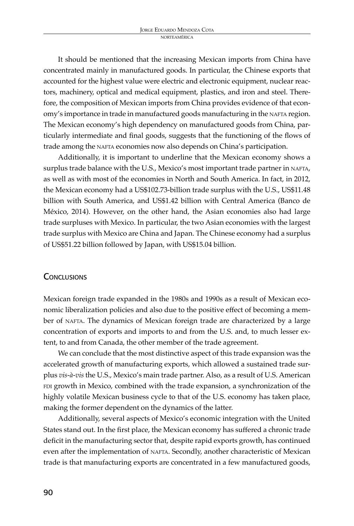It should be mentioned that the increasing Mexican imports from China have concentrated mainly in manufactured goods. In particular, the Chinese exports that accounted for the highest value were electric and electronic equipment, nuclear reactors, machinery, optical and medical equipment, plastics, and iron and steel. Therefore, the composition of Mexican imports from China provides evidence of that economy's importance in trade in manufactured goods manufacturing in the NAFTA region. The Mexican economy's high dependency on manufactured goods from China, particularly intermediate and final goods, suggests that the functioning of the flows of trade among the NAFTA economies now also depends on China's participation.

Additionally, it is important to underline that the Mexican economy shows a surplus trade balance with the U.S., Mexico's most important trade partner in NAFTA, as well as with most of the economies in North and South America. In fact, in 2012, the Mexican economy had a US\$102.73-billion trade surplus with the U.S., US\$11.48 billion with South America, and US\$1.42 billion with Central America (Banco de México, 2014). However, on the other hand, the Asian economies also had large trade surpluses with Mexico. In particular, the two Asian economies with the largest trade surplus with Mexico are China and Japan. The Chinese economy had a surplus of US\$51.22 billion followed by Japan, with US\$15.04 billion.

## **CONCLUSIONS**

Mexican foreign trade expanded in the 1980s and 1990s as a result of Mexican economic liberalization policies and also due to the positive effect of becoming a member of NAFTA. The dynamics of Mexican foreign trade are characterized by a large concentration of exports and imports to and from the U.S. and, to much lesser extent, to and from Canada, the other member of the trade agreement.

We can conclude that the most distinctive aspect of this trade expansion was the accelerated growth of manufacturing exports, which allowed a sustained trade surplus *vis-à-vis* the U.S., Mexico's main trade partner. Also, as a result of U.S. American FDI growth in Mexico, combined with the trade expansion, a synchronization of the highly volatile Mexican business cycle to that of the U.S. economy has taken place, making the former dependent on the dynamics of the latter.

Additionally, several aspects of Mexico's economic integration with the United States stand out. In the first place, the Mexican economy has suffered a chronic trade deficit in the manufacturing sector that, despite rapid exports growth, has continued even after the implementation of NAFTA. Secondly, another characteristic of Mexican trade is that manufacturing exports are concentrated in a few manufactured goods,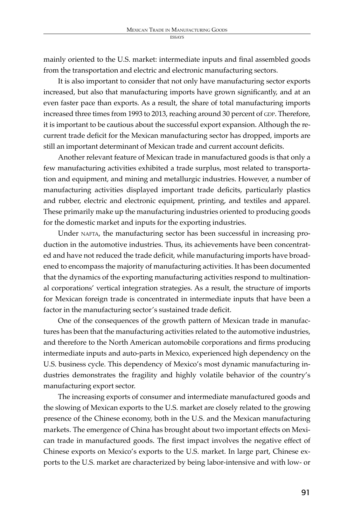mainly oriented to the U.S. market: intermediate inputs and final assembled goods from the transportation and electric and electronic manufacturing sectors.

It is also important to consider that not only have manufacturing sector exports increased, but also that manufacturing imports have grown significantly, and at an even faster pace than exports. As a result, the share of total manufacturing imports increased three times from 1993 to 2013, reaching around 30 percent of GDP. Therefore, it is important to be cautious about the successful export expansion. Although the recurrent trade deficit for the Mexican manufacturing sector has dropped, imports are still an important determinant of Mexican trade and current account deficits.

Another relevant feature of Mexican trade in manufactured goods is that only a few manufacturing activities exhibited a trade surplus, most related to transportation and equipment, and mining and metallurgic industries. However, a number of manufacturing activities displayed important trade deficits, particularly plastics and rubber, electric and electronic equipment, printing, and textiles and apparel. These primarily make up the manufacturing industries oriented to producing goods for the domestic market and inputs for the exporting industries.

Under NAFTA, the manufacturing sector has been successful in increasing production in the automotive industries. Thus, its achievements have been concentrated and have not reduced the trade deficit, while manufacturing imports have broadened to encompass the majority of manufacturing activities. It has been documented that the dynamics of the exporting manufacturing activities respond to multinational corporations' vertical integration strategies. As a result, the structure of imports for Mexican foreign trade is concentrated in intermediate inputs that have been a factor in the manufacturing sector's sustained trade deficit.

One of the consequences of the growth pattern of Mexican trade in manufactures has been that the manufacturing activities related to the automotive industries, and therefore to the North American automobile corporations and firms producing intermediate inputs and auto-parts in Mexico, experienced high dependency on the U.S. business cycle. This dependency of Mexico's most dynamic manufacturing industries demonstrates the fragility and highly volatile behavior of the country's manufacturing export sector.

The increasing exports of consumer and intermediate manufactured goods and the slowing of Mexican exports to the U.S. market are closely related to the growing presence of the Chinese economy, both in the U.S. and the Mexican manufacturing markets. The emergence of China has brought about two important effects on Mexican trade in manufactured goods. The first impact involves the negative effect of Chinese exports on Mexico's exports to the U.S. market. In large part, Chinese exports to the U.S. market are characterized by being labor-intensive and with low- or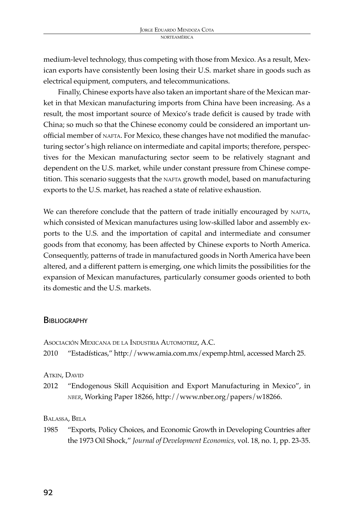medium-level technology, thus competing with those from Mexico. As a result, Mexican exports have consistently been losing their U.S. market share in goods such as electrical equipment, computers, and telecommunications.

Finally, Chinese exports have also taken an important share of the Mexican market in that Mexican manufacturing imports from China have been increasing. As a result, the most important source of Mexico's trade deficit is caused by trade with China; so much so that the Chinese economy could be considered an important unofficial member of NAFTA. For Mexico, these changes have not modified the manufacturing sector's high reliance on intermediate and capital imports; therefore, perspectives for the Mexican manufacturing sector seem to be relatively stagnant and dependent on the U.S. market, while under constant pressure from Chinese competition. This scenario suggests that the NAFTA growth model, based on manufacturing exports to the U.S. market, has reached a state of relative exhaustion.

We can therefore conclude that the pattern of trade initially encouraged by NAFTA, which consisted of Mexican manufactures using low-skilled labor and assembly exports to the U.S. and the importation of capital and intermediate and consumer goods from that economy, has been affected by Chinese exports to North America. Consequently, patterns of trade in manufactured goods in North America have been altered, and a different pattern is emerging, one which limits the possibilities for the expansion of Mexican manufactures, particularly consumer goods oriented to both its domestic and the U.S. markets.

## **BIBLIOGRAPHY**

|      | Asociación Mexicana de la Industria Automotriz, A.C.                   |
|------|------------------------------------------------------------------------|
| 2010 | "Estadísticas," http://www.amia.com.mx/expemp.html, accessed March 25. |

ATKIN, DAVID

2012 "Endogenous Skill Acquisition and Export Manufacturing in Mexico", in *nber*, Working Paper 18266, http://www.nber.org/papers/w18266.

#### Balassa, Bela

1985 "Exports, Policy Choices, and Economic Growth in Developing Countries after the 1973 Oil Shock," *Journal of Development Economics*, vol. 18, no. 1, pp. 23-35.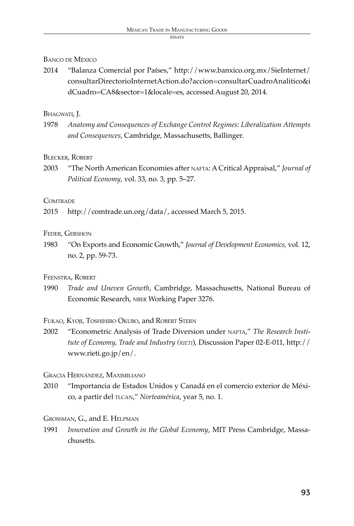#### ECC AVC

# Banco de México

2014 "Balanza Comercial por Países," http://www.banxico.org.mx/SieInternet/ consultarDirectorioInternetAction.do?accion=consultarCuadroAnalitico&i dCuadro=CA8&sector=1&locale=es, accessed August 20, 2014.

# BHAGWATI, J.

1978 *Anatomy and Consequences of Exchange Control Regimes: Liberalization Attempts and Consequences*, Cambridge, Massachusetts, Ballinger.

# Blecker, Robert

2003 **The North American Economies after NAFTA: A Critical Appraisal,"** *Journal of Political Economy*, vol. 33, no. 3, pp. 5–27.

# **COMTRADE**

2015 http://comtrade.un.org/data/, accessed March 5, 2015.

# Feder, Gershon

1983 "On Exports and Economic Growth," *Journal of Development Economics,* vol. 12, no. 2, pp. 59-73.

# Feenstra, Robert

1990 *Trade and Uneven Growth*, Cambridge, Massachusetts, National Bureau of Economic Research, NBER Working Paper 3276.

## Fukao, Kyoji, Toshihiro Okubo, and Robert Stern

2002 "Econometric Analysis of Trade Diversion under nafta," *The Research Institute of Economy, Trade and Industry (rieti*), Discussion Paper 02-E-011, http:// www.rieti.go.jp/en/.

# Gracia Hernández, Maximiliano

2010 "Importancia de Estados Unidos y Canadá en el comercio exterior de México, a partir del tlcan," *Norteamérica*, year 5, no. 1.

# Grossman, G., and E. Helpman

1991 *Innovation and Growth in the Global Economy*, MIT Press Cambridge, Massachusetts.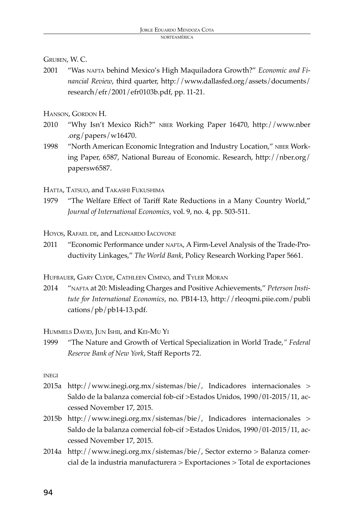Gruben, W. C.

2001 "Was nafta behind Mexico's High Maquiladora Growth?" *Economic and Financial Review*, third quarter, http://www.dallasfed.org/assets/documents/ research/efr/2001/efr0103b.pdf, pp. 11-21.

Hanson, Gordon H.

- 2010 "Why Isn't Mexico Rich?" nber Working Paper 16470, http://www.nber .org/papers/w16470.
- 1998 "North American Economic Integration and Industry Location," NBER Working Paper, 6587, National Bureau of Economic. Research, http://nber.org/ papersw6587.

HATTA, TATSUO, and TAKASHI FUKUSHIMA

1979 "The Welfare Effect of Tariff Rate Reductions in a Many Country World," *Journal of International Economics*, vol. 9, no. 4, pp. 503-511.

Hoyos, Rafael de, and Leonardo Iacovone

2011 "Economic Performance under NAFTA, A Firm-Level Analysis of the Trade-Productivity Linkages," *The World Bank*, Policy Research Working Paper 5661.

Hufbauer, Gary Clyde, Cathleen Cimino, and Tyler Moran

2014 "nafta at 20: Misleading Charges and Positive Achievements," *Peterson Institute for International Economics*, no. PB14-13, http://rleoqmi.piie.com/publi cations/pb/pb14-13.pdf.

Hummels David, Jun Ishii, and Kei-Mu Yi

1999 "The Nature and Growth of Vertical Specialization in World Trade,*" Federal Reserve Bank of New York*, Staff Reports 72.

**INEGI** 

- 2015a http://www.inegi.org.mx/sistemas/bie/, Indicadores internacionales > Saldo de la balanza comercial fob-cif >Estados Unidos, 1990/01-2015/11, accessed November 17, 2015.
- 2015b http://www.inegi.org.mx/sistemas/bie/, Indicadores internacionales > Saldo de la balanza comercial fob-cif >Estados Unidos, 1990/01-2015/11, accessed November 17, 2015.
- 2014a http://www.inegi.org.mx/sistemas/bie/, Sector externo > Balanza comercial de la industria manufacturera > Exportaciones > Total de exportaciones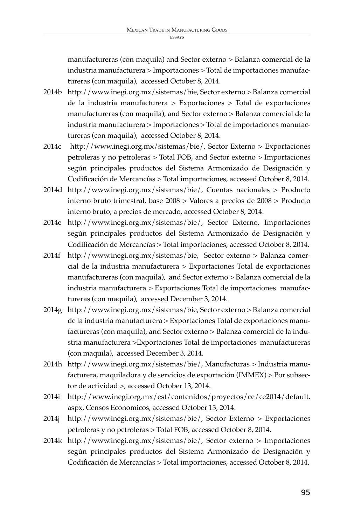manufactureras (con maquila) and Sector externo > Balanza comercial de la industria manufacturera > Importaciones > Total de importaciones manufactureras (con maquila), accessed October 8, 2014.

- 2014b http://www.inegi.org.mx/sistemas/bie, Sector externo > Balanza comercial de la industria manufacturera > Exportaciones > Total de exportaciones manufactureras (con maquila), and Sector externo > Balanza comercial de la industria manufacturera > Importaciones > Total de importaciones manufactureras (con maquila), accessed October 8, 2014.
- 2014c http://www.inegi.org.mx/sistemas/bie/, Sector Externo > Exportaciones petroleras y no petroleras > Total FOB, and Sector externo > Importaciones según principales productos del Sistema Armonizado de Designación y Codificación de Mercancías > Total importaciones, accessed October 8, 2014.
- 2014d http://www.inegi.org.mx/sistemas/bie/, Cuentas nacionales > Producto interno bruto trimestral, base 2008 > Valores a precios de 2008 > Producto interno bruto, a precios de mercado, accessed October 8, 2014.
- 2014e http://www.inegi.org.mx/sistemas/bie/, Sector Externo, Importaciones según principales productos del Sistema Armonizado de Designación y Codificación de Mercancías > Total importaciones, accessed October 8, 2014.
- 2014f http://www.inegi.org.mx/sistemas/bie, Sector externo > Balanza comercial de la industria manufacturera > Exportaciones Total de exportaciones manufactureras (con maquila), and Sector externo > Balanza comercial de la industria manufacturera > Exportaciones Total de importaciones manufactureras (con maquila), accessed December 3, 2014.
- 2014g http://www.inegi.org.mx/sistemas/bie, Sector externo > Balanza comercial de la industria manufacturera > Exportaciones Total de exportaciones manufactureras (con maquila), and Sector externo > Balanza comercial de la industria manufacturera >Exportaciones Total de importaciones manufactureras (con maquila), accessed December 3, 2014.
- 2014h http://www.inegi.org.mx/sistemas/bie/, Manufacturas > Industria manufacturera, maquiladora y de servicios de exportación (IMMEX) > Por subsector de actividad >, accessed October 13, 2014.
- 2014i http://www.inegi.org.mx/est/contenidos/proyectos/ce/ce2014/default. aspx, Censos Economicos, accessed October 13, 2014.
- 2014j http://www.inegi.org.mx/sistemas/bie/, Sector Externo > Exportaciones petroleras y no petroleras > Total FOB, accessed October 8, 2014.
- 2014k http://www.inegi.org.mx/sistemas/bie/, Sector externo > Importaciones según principales productos del Sistema Armonizado de Designación y Codificación de Mercancías > Total importaciones, accessed October 8, 2014.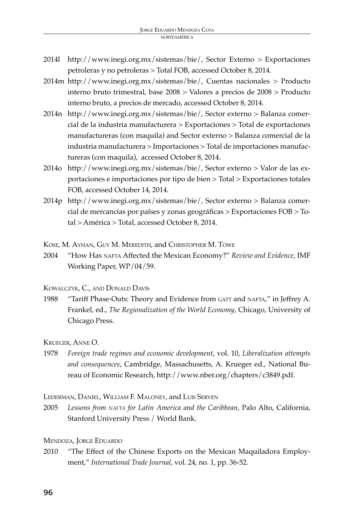- 2014l http://www.inegi.org.mx/sistemas/bie/, Sector Externo > Exportaciones petroleras y no petroleras > Total FOB, accessed October 8, 2014.
- 2014m http://www.inegi.org.mx/sistemas/bie/, Cuentas nacionales > Producto interno bruto trimestral, base 2008 > Valores a precios de 2008 > Producto interno bruto, a precios de mercado, accessed October 8, 2014.
- 2014n http://www.inegi.org.mx/sistemas/bie/, Sector externo > Balanza comercial de la industria manufacturera > Exportaciones > Total de exportaciones manufactureras (con maquila) and Sector externo > Balanza comercial de la industria manufacturera > Importaciones > Total de importaciones manufactureras (con maquila), accessed October 8, 2014.
- 2014o http://www.inegi.org.mx/sistemas/bie/, Sector externo > Valor de las exportaciones e importaciones por tipo de bien > Total > Exportaciones totales FOB, accessed October 14, 2014.
- 2014p http://www.inegi.org.mx/sistemas/bie/, Sector externo > Balanza comercial de mercancías por países y zonas geográficas > Exportaciones FOB > Total > América > Total, accessed October 8, 2014.

Kose, M. Ayhan, Guy M. Meredith, and Christopher M. Towe

2004 "How Has nafta Affected the Mexican Economy?" *Review and Evidence*, IMF Working Paper, WP/04/59.

Kowalczyk, C., and Donald Davis

1988 "Tariff Phase-Outs: Theory and Evidence from GATT and NAFTA," in Jeffrey A. Frankel, ed., *The Regionalization of the World Economy*, Chicago, University of Chicago Press.

Krueger, Anne O.

1978 *Foreign trade regimes and economic development*, vol. 10, *Liberalization attempts and consequences*, Cambridge, Massachusetts, A. Krueger ed., National Bureau of Economic Research, http://www.nber.org/chapters/c3849.pdf.

Lederman, Daniel, William F. Maloney, and Luis Serven

2005 *Lessons from nafta for Latin America and the Caribbean*, Palo Alto, California, Stanford University Press / World Bank.

Mendoza, Jorge Eduardo

2010 "The Effect of the Chinese Exports on the Mexican Maquiladora Employment," *International Trade Journal*, vol. 24, no. 1, pp. 36-52.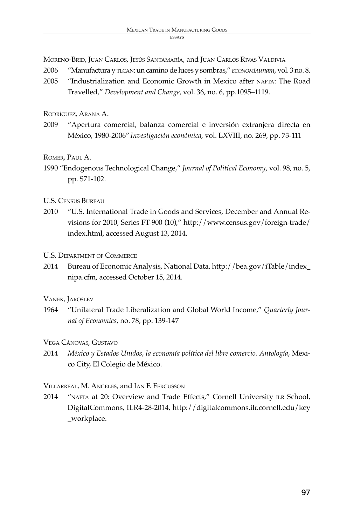Moreno-Brid, Juan Carlos, Jesús Santamaría, and Juan Carlos Rivas Valdivia

- 2006 "Manufactura y tlcan: un camino de luces y sombras," *economíaunam*, vol. 3 no. 8.
- 2005 "Industrialization and Economic Growth in Mexico after NAFTA: The Road Travelled," *Development and Change*, vol. 36, no. 6, pp.1095–1119.

Rodríguez, Arana A.

2009 "Apertura comercial, balanza comercial e inversión extranjera directa en México, 1980-2006" *Investigación económica*, vol. LXVIII, no. 269, pp. 73-111

Romer, Paul A.

1990 "Endogenous Technological Change," *Journal of Political Economy*, vol. 98, no. 5, pp. S71-102.

U.S. Census Bureau

2010 "U.S. International Trade in Goods and Services, December and Annual Revisions for 2010, Series FT-900 (10)," http://www.census.gov/foreign-trade/ index.html, accessed August 13, 2014.

U.S. Department of Commerce

2014 Bureau of Economic Analysis, National Data, http://bea.gov/iTable/index\_ nipa.cfm, accessed October 15, 2014.

Vanek, Jaroslev

1964 "Unilateral Trade Liberalization and Global World Income," *Quarterly Journal of Economics*, no. 78, pp. 139-147

Vega Cánovas, Gustavo

2014 *México y Estados Unidos, la economía política del libre comercio. Antología*, Mexico City, El Colegio de México.

Villarreal, M. Angeles, and Ian F. Fergusson

2014 "NAFTA at 20: Overview and Trade Effects," Cornell University ILR School, DigitalCommons, ILR4-28-2014, http://digitalcommons.ilr.cornell.edu/key \_workplace.